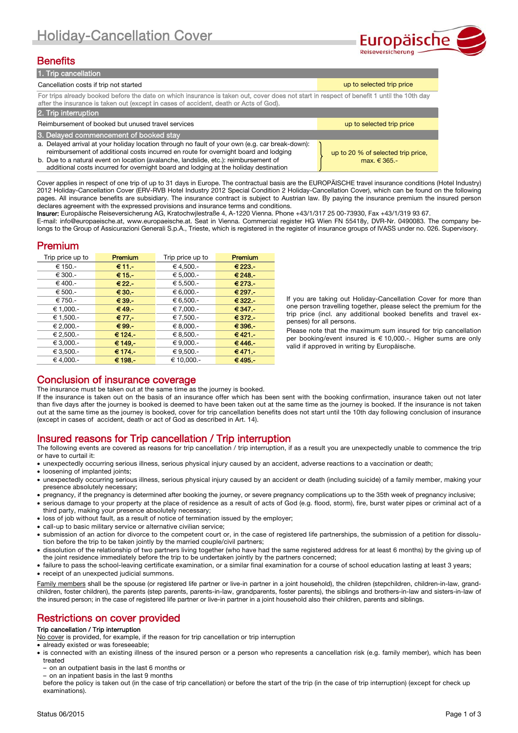

# **Benefits**

| 1. Trip cancellation                                                                                                                                                                                                                                                                                                                                                   |                                                        |  |  |  |
|------------------------------------------------------------------------------------------------------------------------------------------------------------------------------------------------------------------------------------------------------------------------------------------------------------------------------------------------------------------------|--------------------------------------------------------|--|--|--|
| Cancellation costs if trip not started                                                                                                                                                                                                                                                                                                                                 | up to selected trip price                              |  |  |  |
| For trips already booked before the date on which insurance is taken out, cover does not start in respect of benefit 1 until the 10th day<br>after the insurance is taken out (except in cases of accident, death or Acts of God).                                                                                                                                     |                                                        |  |  |  |
| 2. Trip interruption                                                                                                                                                                                                                                                                                                                                                   |                                                        |  |  |  |
| Reimbursement of booked but unused travel services                                                                                                                                                                                                                                                                                                                     | up to selected trip price                              |  |  |  |
| 3. Delayed commencement of booked stay                                                                                                                                                                                                                                                                                                                                 |                                                        |  |  |  |
| a. Delayed arrival at your holiday location through no fault of your own (e.g. car break-down):<br>reimbursement of additional costs incurred en route for overnight board and lodging<br>b. Due to a natural event on location (avalanche, landslide, etc.): reimbursement of<br>additional costs incurred for overnight board and lodging at the holiday destination | up to 20 % of selected trip price,<br>max. $\in$ 365.- |  |  |  |

Cover applies in respect of one trip of up to 31 days in Europe. The contractual basis are the EUROPÄISCHE travel insurance conditions (Hotel Industry) 2012 Holiday-Cancellation Cover (ERV-RVB Hotel Industry 2012 Special Condition 2 Holiday-Cancellation Cover), which can be found on the following pages. All insurance benefits are subsidiary. The insurance contract is subject to Austrian law. By paying the insurance premium the insured person declares agreement with the expressed provisions and insurance terms and conditions.

Insurer: Europäische Reiseversicherung AG, Kratochwjlestraße 4, A-1220 Vienna. Phone +43/1/317 25 00-73930, Fax +43/1/319 93 67.

E-mail: info@europaeische.at, www.europaeische.at. Seat in Vienna. Commercial register HG Wien FN 55418y, DVR-Nr. 0490083. The company belongs to the Group of Assicurazioni Generali S.p.A., Trieste, which is registered in the register of insurance groups of IVASS under no. 026. Supervisory.

# Premium

| Trip price up to | <b>Premium</b>  | Trip price up to | <b>Premium</b> |
|------------------|-----------------|------------------|----------------|
| € 150.-          | $€11 -$         | € 4,500.-        | $€ 223 -$      |
| € 300.-          | $€15-$          | € 5,000.-        | € 248.-        |
| € 400.-          | $\epsilon$ 22 - | € 5,500.-        | € 273.-        |
| € 500.-          | $€30-$          | € 6,000.-        | € 297.-        |
| € 750.-          | $€39. -$        | € 6.500.-        | € 322.-        |
| € 1,000.-        | $€49. -$        | € 7,000.         | $€347. -$      |
| € 1,500.-        | $\epsilon$ 77.- | €7,500.          | $€372. -$      |
| € 2.000.-        | €99.            | € 8.000.-        | $€396. -$      |
| € 2,500.-        | € 124.-         | € 8,500.-        | €421.-         |
| € 3.000.-        | € 149.-         | € 9.000.-        | €446.-         |
| € 3,500.-        | € 174.-         | € 9,500.-        | €471.-         |
| € 4.000.-        | € 198.-         | € 10,000.-       | €495.-         |

If you are taking out Holiday-Cancellation Cover for more than one person travelling together, please select the premium for the trip price (incl. any additional booked benefits and travel expenses) for all persons.

Please note that the maximum sum insured for trip cancellation per booking/event insured is € 10,000.-. Higher sums are only valid if approved in writing by Europäische.

# Conclusion of insurance coverage

The insurance must be taken out at the same time as the journey is booked.

If the insurance is taken out on the basis of an insurance offer which has been sent with the booking confirmation, insurance taken out not later than five days after the journey is booked is deemed to have been taken out at the same time as the journey is booked. If the insurance is not taken out at the same time as the journey is booked, cover for trip cancellation benefits does not start until the 10th day following conclusion of insurance (except in cases of accident, death or act of God as described in Art. 14).

# Insured reasons for Trip cancellation / Trip interruption

The following events are covered as reasons for trip cancellation / trip interruption, if as a result you are unexpectedly unable to commence the trip or have to curtail it:

- unexpectedly occurring serious illness, serious physical injury caused by an accident, adverse reactions to a vaccination or death;
- loosening of implanted joints;
- unexpectedly occurring serious illness, serious physical injury caused by an accident or death (including suicide) of a family member, making your presence absolutely necessary;
- pregnancy, if the pregnancy is determined after booking the journey, or severe pregnancy complications up to the 35th week of pregnancy inclusive;
- serious damage to your property at the place of residence as a result of acts of God (e.g. flood, storm), fire, burst water pipes or criminal act of a third party, making your presence absolutely necessary;
- loss of job without fault, as a result of notice of termination issued by the employer;
- call-up to basic military service or alternative civilian service;
- submission of an action for divorce to the competent court or, in the case of registered life partnerships, the submission of a petition for dissolution before the trip to be taken jointly by the married couple/civil partners;
- dissolution of the relationship of two partners living together (who have had the same registered address for at least 6 months) by the giving up of the joint residence immediately before the trip to be undertaken jointly by the partners concerned;
- failure to pass the school-leaving certificate examination, or a similar final examination for a course of school education lasting at least 3 years;
- receipt of an unexpected judicial summons.

Family members shall be the spouse (or registered life partner or live-in partner in a joint household), the children (stepchildren, children-in-law, grandchildren, foster children), the parents (step parents, parents-in-law, grandparents, foster parents), the siblings and brothers-in-law and sisters-in-law of the insured person; in the case of registered life partner or live-in partner in a joint household also their children, parents and siblings.

# Restrictions on cover provided

## Trip cancellation / Trip interruption

No cover is provided, for example, if the reason for trip cancellation or trip interruption

already existed or was foreseeable;

- is connected with an existing illness of the insured person or a person who represents a cancellation risk (e.g. family member), which has been treated
- on an outpatient basis in the last 6 months or

– on an inpatient basis in the last 9 months before the policy is taken out (in the case of trip cancellation) or before the start of the trip (in the case of trip interruption) (except for check up examinations).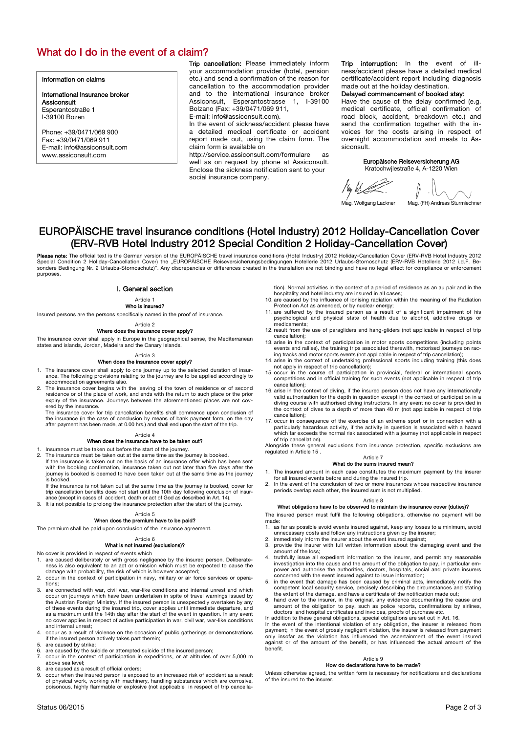# What do I do in the event of a claim?

### Information on claims

International insurance broker **Assiconsult** Esperantostraße 1 I-39100 Bozen

Phone: +39/0471/069 900 Fax: +39/0471/069 911 E-mail: info@assiconsult.com www.assiconsult.com

Trip cancellation: Please immediately inform your accommodation provider (hotel, pension etc.) and send a confirmation of the reason for cancellation to the accommodation provider and to the international insurance broker Assiconsult, Esperantostrasse 1, I-39100 Bolzano (Fax: +39/0471/069 911,

E-mail: info@assiconsult.com).

In the event of sickness/accident please have a detailed medical certificate or accident report made out, using the claim form. The claim form is available on

http://service.assiconsult.com/formulare as well as on request by phone at Assiconsult. Enclose the sickness notification sent to your social insurance company.

Trip interruption: In the event of ness/accident please have a detailed medical certificate/accident report including diagnosis made out at the holiday destination.

## Delayed commencement of booked stay:

Have the cause of the delay confirmed (e.g. medical certificate, official confirmation of road block, accident, breakdown etc.) and send the confirmation together with the invoices for the costs arising in respect of overnight accommodation and meals to Assiconsult.

### Europäische Reiseversicherung AG Kratochwjlestraße 4, A-1220 Wien

 $\frac{1}{4}$  by by Let .

# EUROPÄISCHE travel insurance conditions (Hotel Industry) 2012 Holiday-Cancellation Cover (ERV-RVB Hotel Industry 2012 Special Condition 2 Holiday-Cancellation Cover)

**Please note:** The official text is the German version of the EUROPÄISCHE travel insurance conditions (Hotel Industry) 2012 Holiday-Cancellation Cover (ERV-RVB Hotel Industry 2012<br>Special Condition 2 Holiday-Cancellation C purposes.

### I. General section

## Article 1

Who is insured?

Insured persons are the persons specifically named in the proof of insurance.

Article 2

### Where does the insurance cover apply?

The insurance cover shall apply in Europe in the geographical sense, the Mediterranean states and islands, Jordan, Madeira and the Canary Islands.

### Article 3 When does the insurance cover apply?

- 1. The insurance cover shall apply to one journey up to the selected duration of insur-ance. The following provisions relating to the journey are to be applied accordingly to
- accommodation agreements also. 2. The insurance cover begins with the leaving of the town of residence or of second residence or of the place of work, and ends with the return to such place or the prior expiry of the insurance. Journeys between the aforementioned places are not covered by the insurance.

The insurance cover for trip cancellation benefits shall commence upon conclusion of<br>the insurance (in the case of conclusion by means of bank payment form, on the day<br>after payment has been made, at 0.00 hrs.) and shall e

## Article 4

- When does the insurance have to be taken out? 1. Insurance must be taken out before the start of the journey.
- 
- 2. The insurance must be taken out at the same time as the journey is booked. If the insurance is taken out on the basis of an insurance offer which has been sent with the booking confirmation, insurance taken out not later than five days after the journey is booked is deemed to have been taken out at the same time as the journey is booked.
- If the insurance is not taken out at the same time as the journey is booked, cover for trip cancellation benefits does not start until the 10th day following conclusion of insur-ance (except in cases of accident, death or act of God as described in Art. 14). 3. It is not possible to prolong the insurance protection after the start of the journey.

### Article 5

## When does the premium have to be paid?

The premium shall be paid upon conclusion of the insurance agreement.

### Article 6

### What is not insured (exclusions)?

- No cover is provided in respect of events which
- 1. are caused deliberately or with gross negligence by the insured person. Deliberateness is also equivalent to an act or omission which must be expected to cause the damage with probability, the risk of which is however accepted;
- 2. occur in the context of participation in navy, military or air force services or operations;
- 3. are connected with war, civil war, war-like conditions and internal unrest and which occur on journeys which have been undertaken in spite of travel warnings issued by the Austrian Foreign Ministry. If the insured perso as a maximum until the 14th day after the start of the event in question. In any event no cover applies in respect of active participation in war, civil war, war-like conditions and internal unrest;
- occur as a result of violence on the occasion of public gatherings or demonstrations if the insured person actively takes part therein;
- are caused by strike;
- 6. are caused by the suicide or attempted suicide of the insured person; 7. occur in the context of participation in expeditions, or at altitudes of over 5,000 m
- above sea level;
- are caused as a result of official orders;
- 9. occur when the insured person is exposed to an increased risk of accident as a result of physical work, working with machinery, handling substances which are corrosive, poisonous, highly flammable or explosive (not applicable in respect of trip cancella-

tion). Normal activities in the context of a period of residence as an au pair and in the hospitality and hotel industry are insured in all cases

- 10. are caused by the influence of ionising radiation within the meaning of the Radiation Protection Act as amended, or by nuclear energy;
- 11. are suffered by the insured person as a result of a significant impairment of his psychological and physical state of health due to alcohol, addictive drugs or medicaments;
- 12. result from the use of paragliders and hang-gliders (not applicable in respect of trip cancellation); 13. arise in the context of participation in motor sports competitions (including points
- events and rallies), the training trips associated therewith, motorised journeys on rac-ing tracks and motor sports events (not applicable in respect of trip cancellation);
- 14. arise in the context of undertaking professional sports including training (this does not apply in respect of trip cancellation);
- 15. occur in the course of participation in provincial, federal or international sports competitions and in official training for such events (not applicable in respect of trip cancellation);
- 16. arise in the context of diving, if the insured person does not have any internationally valid authorisation for the depth in question except in the context of participation in a diving course with authorised diving instructors. In any event no cover is provided in the context of dives to a depth of more than 40 m (not applicable in respect of trip cancellation);
- 17. occur in consequence of the exercise of an extreme sport or in connection with a particularly hazardous activity, if the activity in question is associated with a hazard which far exceeds the normal risk associated with a journey (not applicable in respect of trip cancellation).

Alongside these general exclusions from insurance protection, specific exclusions are regulated in Article 15 .

### Article 7 What do the sums insured mean?

- 1. The insured amount in each case constitutes the maximum payment by the insurer
- for all insured events before and during the insured trip. 2. In the event of the conclusion of two or more insurances whose respective insurance periods overlap each other, the insured sum is not multiplied.

# Article 8 What obligations have to be observed to maintain the insurance cover (duties)?

The insured person must fulfil the following obligations, otherwise no payment will be made: 1. as far as possible avoid events insured against, keep any losses to a minimum, avoid

- 
- unnecessary costs and follow any instructions given by the insurer; 2. immediately inform the insurer about the event insured against; 3. provide the insurer with full written information about the damaging event and the
- amount of the loss; 4. truthfully issue all expedient information to the insurer, and permit any reasonable
- investigation into the cause and the amount of the obligation to pay, in particular em-power and authorise the authorities, doctors, hospitals, social and private insurers concerned with the event insured against to issue information; 5. in the event that damage has been caused by criminal acts, immediately notify the
- competent local security service, precisely describing the circumstances and stating the extent of the damage, and have a certificate of the notification made out;
- 6. hand over to the insurer, in the original, any evidence documenting the cause and amount of the obligation to pay, such as police reports, confirmations by airlines,
- 

doctors' and hospital certificates and invoices, proofs of purchase etc.<br>In addition to these general obligations, special obligations are set out in Art. 16.<br>In the event of the intentional violation of any obligation, th benefit.

## Article 9

## How do declarations have to be made?

Unless otherwise agreed, the written form is necessary for notifications and declarations of the insured to the insurer.

Mag. Wolfgang Lackner Mag. (FH) Andreas Sturmlechner